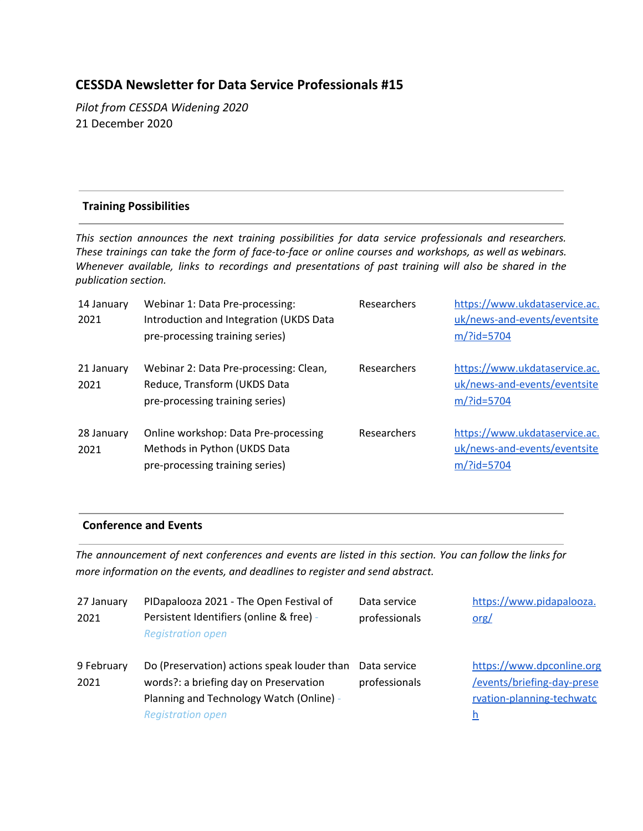# **CESSDA Newsletter for Data Service Professionals #15**

*Pilot from CESSDA Widening 2020* 21 December 2020

#### **Training Possibilities**

*This section announces the next training possibilities for data service professionals and researchers. These trainings can take the form of face-to-face or online courses and workshops, as well as webinars. Whenever available, links to recordings and presentations of past training will also be shared in the publication section.*

| 14 January<br>2021 | Webinar 1: Data Pre-processing:<br>Introduction and Integration (UKDS Data<br>pre-processing training series) | Researchers        | https://www.ukdataservice.ac.<br>uk/news-and-events/eventsite<br>m/?id=5704 |
|--------------------|---------------------------------------------------------------------------------------------------------------|--------------------|-----------------------------------------------------------------------------|
| 21 January<br>2021 | Webinar 2: Data Pre-processing: Clean,<br>Reduce, Transform (UKDS Data<br>pre-processing training series)     | <b>Researchers</b> | https://www.ukdataservice.ac.<br>uk/news-and-events/eventsite<br>m/?id=5704 |
| 28 January<br>2021 | Online workshop: Data Pre-processing<br>Methods in Python (UKDS Data<br>pre-processing training series)       | Researchers        | https://www.ukdataservice.ac.<br>uk/news-and-events/eventsite<br>m/?id=5704 |

#### **Conference and Events**

The announcement of next conferences and events are listed in this section. You can follow the links for *more information on the events, and deadlines to register and send abstract.*

| 27 January<br>2021 | PIDapalooza 2021 - The Open Festival of<br>Persistent Identifiers (online & free) -<br><b>Registration open</b>                                               | Data service<br>professionals | https://www.pidapalooza.<br><u>org/</u>                                                          |
|--------------------|---------------------------------------------------------------------------------------------------------------------------------------------------------------|-------------------------------|--------------------------------------------------------------------------------------------------|
| 9 February<br>2021 | Do (Preservation) actions speak louder than<br>words?: a briefing day on Preservation<br>Planning and Technology Watch (Online) -<br><b>Registration open</b> | Data service<br>professionals | https://www.dpconline.org<br>/events/briefing-day-prese<br>rvation-planning-techwatc<br><u>h</u> |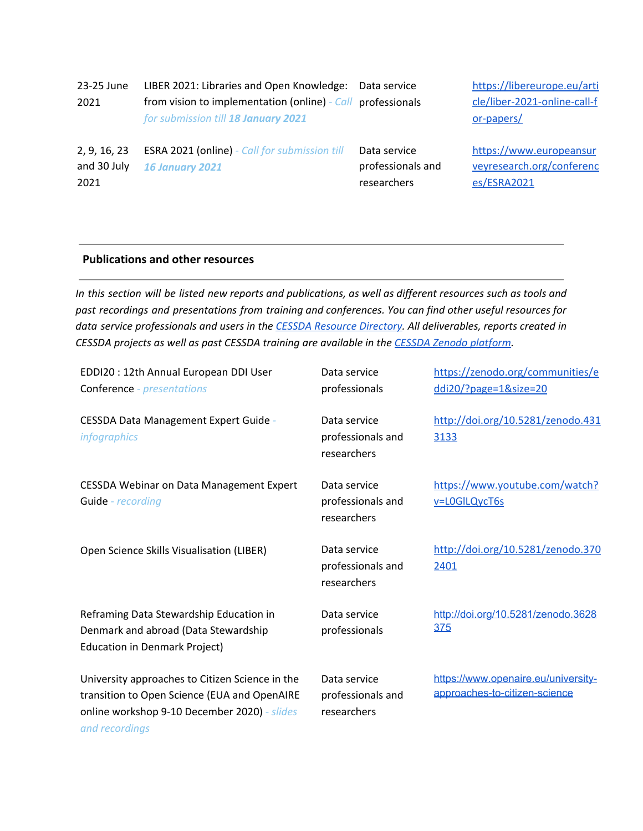| 23-25 June<br>2021                  | LIBER 2021: Libraries and Open Knowledge:<br>from vision to implementation (online) - Call professionals<br>for submission till 18 January 2021 | Data service                                     | https://libereurope.eu/arti<br>cle/liber-2021-online-call-f<br>or-papers/ |
|-------------------------------------|-------------------------------------------------------------------------------------------------------------------------------------------------|--------------------------------------------------|---------------------------------------------------------------------------|
| 2, 9, 16, 23<br>and 30 July<br>2021 | <b>ESRA 2021 (online)</b> - Call for submission till<br><b>16 January 2021</b>                                                                  | Data service<br>professionals and<br>researchers | https://www.europeansur<br>veyresearch.org/conferenc<br>es/ESRA2021       |

#### **Publications and other resources**

In this section will be listed new reports and publications, as well as different resources such as tools and *past recordings and presentations from training and conferences. You can find other useful resources for data service professionals and users in the CESSDA Resource [Directory](https://www.zotero.org/groups/2382601/cessda_resource_directory/library). All deliverables, reports created in CESSDA projects as well as past CESSDA training are available in the CESSDA Zenodo [platform.](https://zenodo.org/communities/cessda/)*

| EDDI20 : 12th Annual European DDI User<br><b>Conference</b> - <i>presentations</i>                                                                                | Data service<br>professionals                    | https://zenodo.org/communities/e<br>ddi20/?page=1&size=20            |
|-------------------------------------------------------------------------------------------------------------------------------------------------------------------|--------------------------------------------------|----------------------------------------------------------------------|
| CESSDA Data Management Expert Guide -<br>infographics                                                                                                             | Data service<br>professionals and<br>researchers | http://doi.org/10.5281/zenodo.431<br>3133                            |
| <b>CESSDA Webinar on Data Management Expert</b><br>Guide - recording                                                                                              | Data service<br>professionals and<br>researchers | https://www.youtube.com/watch?<br>v=L0GILQycT6s                      |
| Open Science Skills Visualisation (LIBER)                                                                                                                         | Data service<br>professionals and<br>researchers | http://doi.org/10.5281/zenodo.370<br>2401                            |
| Reframing Data Stewardship Education in<br>Denmark and abroad (Data Stewardship<br><b>Education in Denmark Project)</b>                                           | Data service<br>professionals                    | http://doi.org/10.5281/zenodo.3628<br>375                            |
| University approaches to Citizen Science in the<br>transition to Open Science (EUA and OpenAIRE<br>online workshop 9-10 December 2020) - slides<br>and recordings | Data service<br>professionals and<br>researchers | https://www.openaire.eu/university-<br>approaches-to-citizen-science |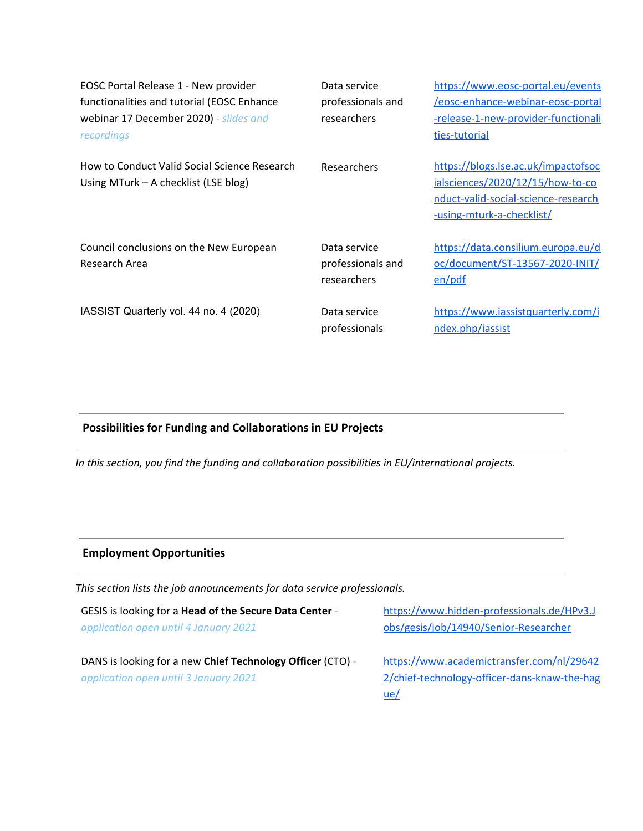| EOSC Portal Release 1 - New provider<br>functionalities and tutorial (EOSC Enhance<br>webinar 17 December 2020) - slides and<br>recordings | Data service<br>professionals and<br>researchers | https://www.eosc-portal.eu/events<br>/eosc-enhance-webinar-eosc-portal<br>-release-1-new-provider-functionali<br>ties-tutorial              |
|--------------------------------------------------------------------------------------------------------------------------------------------|--------------------------------------------------|---------------------------------------------------------------------------------------------------------------------------------------------|
| How to Conduct Valid Social Science Research<br>Using MTurk $-$ A checklist (LSE blog)                                                     | Researchers                                      | https://blogs.lse.ac.uk/impactofsoc<br>ialsciences/2020/12/15/how-to-co<br>nduct-valid-social-science-research<br>-using-mturk-a-checklist/ |
| Council conclusions on the New European<br>Research Area                                                                                   | Data service<br>professionals and<br>researchers | https://data.consilium.europa.eu/d<br>oc/document/ST-13567-2020-INIT/<br>en/pdf                                                             |
| IASSIST Quarterly vol. 44 no. 4 (2020)                                                                                                     | Data service<br>professionals                    | https://www.iassistquarterly.com/i<br>ndex.php/iassist                                                                                      |

# **Possibilities for Funding and Collaborations in EU Projects**

*In this section, you find the funding and collaboration possibilities in EU/international projects.*

## **Employment Opportunities**

*This section lists the job announcements for data service professionals.*

| GESIS is looking for a Head of the Secure Data Center -    | https://www.hidden-professionals.de/HPv3.J   |
|------------------------------------------------------------|----------------------------------------------|
| application open until 4 January 2021                      | obs/gesis/job/14940/Senior-Researcher        |
|                                                            |                                              |
| DANS is looking for a new Chief Technology Officer (CTO) - | https://www.academictransfer.com/nl/29642    |
| application open until 3 January 2021                      | 2/chief-technology-officer-dans-knaw-the-hag |
|                                                            | ue/                                          |